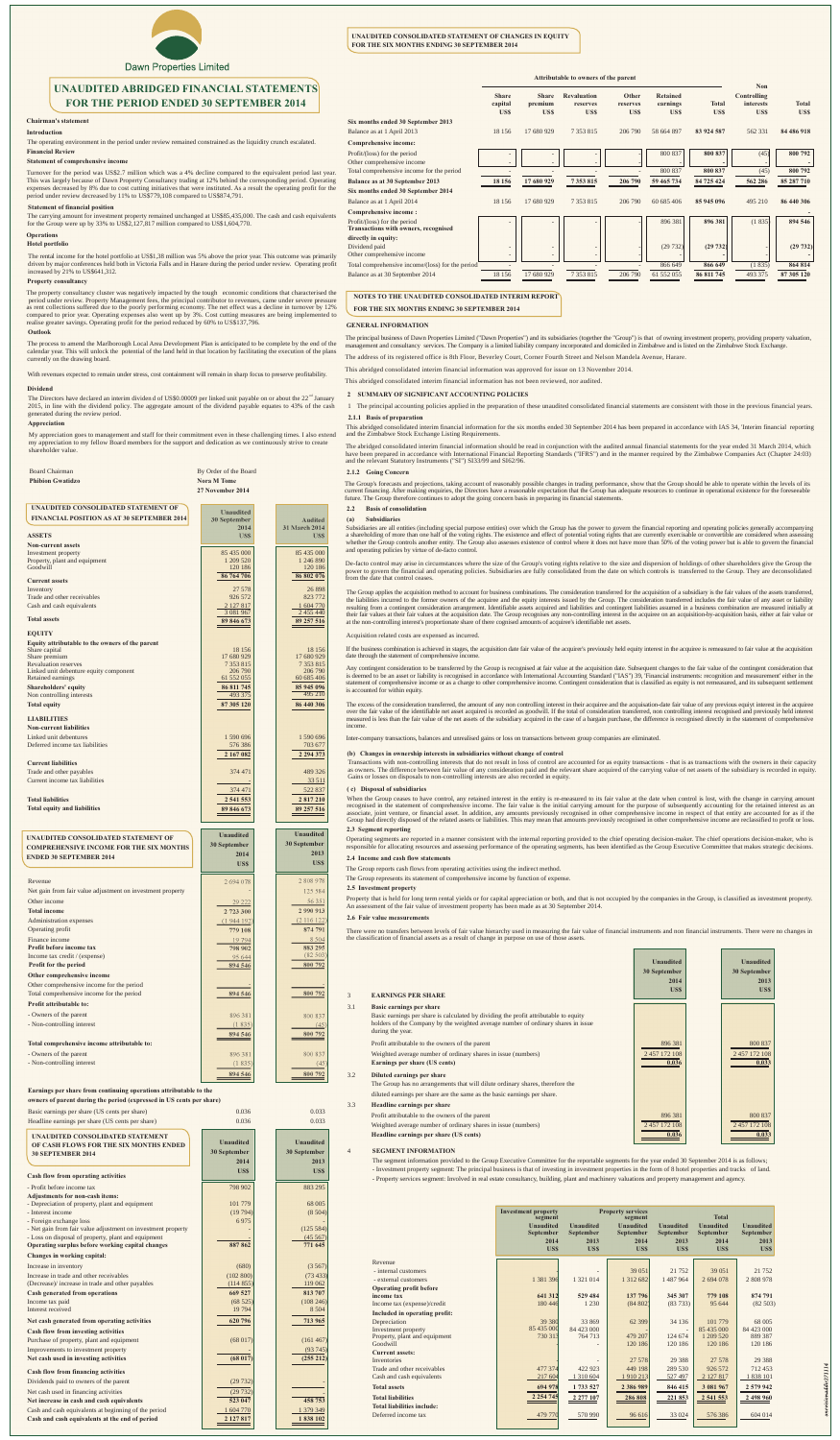The principal business of Dawn Properties Limited ("Dawn Properties") and its subsidiaries (together the "Group") is that of owning investment property, providing property valuation, management and consultancy services. The Company is a limited liability company incorporated and domiciled in Zimbabwe and is listed on the Zimbabwe Stock Exchange

| Net cash used in investing activities | (68017) | (255 212) |
|---------------------------------------|---------|-----------|
|---------------------------------------|---------|-----------|

|  |  |  | Cash flow from financing activities |  |
|--|--|--|-------------------------------------|--|
|--|--|--|-------------------------------------|--|

| Dividends paid to owners of the parent               | (29732)   |           |
|------------------------------------------------------|-----------|-----------|
| Net cash used in financing activities                | (29732)   |           |
| Net increase in cash and cash equivalents            | 523 047   | 458 753   |
| Cash and cash equivalents at beginning of the period | 1 604 770 | 1 379 349 |
| Cash and cash equivalents at the end of period       | 2 127 817 | 1838 102  |

The Group's forecasts and projections, taking account of reasonably possible changes in trading performance, show that the Group should be able to operate within the levels of its<br>current financing. After making enquiries, future. The Group therefore continues to adopt the going concern basis in preparing its financial statements.



**UNAUDITED CONSOLIDATED STATEMENT OF CHANGES IN EQUITY FOR THE SIX MONTHS ENDING 30 SEPTEMBER 2014**

**Dawn Properties Limited** 

**Attributable to owners of the parent**

# **NOTES TO THE UNAUDITED CONSOLIDATED INTERIM REPORT**

**FOR THE SIX MONTHS ENDING 30 SEPTEMBER 2014**

#### **GENERAL INFORMATION**

#### **2 SUMMARY OF SIGNIFICANT ACCOUNTING POLICIES**

1 The principal accounting policies applied in the preparation of these unaudited consolidated financial statements are consistent with those in the previous financial years. **2.1.1 Basis of preparation**

When the Group ceases to have control, any retained interest in the entity is re-measured to its fair value at the date when control is lost, with the change in carrying amount recognised in the statement of comprehensive income. The fair value is the initial carrying amount for the purpose of subsequently accounting for the retained interest as an associate, joint venture, or financial asset. In addition, any amounts previously recognised in other comprehensive income in respect of that entity are accounted for as if the Group had directly disposed of the related assets or liabilities. This may mean that amounts previously recognised in other comprehensive income are reclassified to profit or loss.

# **2.1.2 Going Concern**

# **2.2 Basis of consolidation**

**(a) Subsidiaries**

Acquisition related costs are expensed as incurred.

If the business combination is achieved in stages, the acquisition date fair value of the acquirer's previously held equity interest in the acquiree is remeasured to fair value at the acquisition date through the statement of comprehensive income.

There were no transfers between levels of fair value hierarchy used in measuring the fair value of financial instruments and non financial instruments. There were no changes in the classification of financial assets as a result of change in purpose on use of those assets.

The address of its registered office is 8th Floor, Beverley Court, Corner Fourth Street and Nelson Mandela Avenue, Harare.

This abridged consolidated interim financial information for the six months ended 30 September 2014 has been prepared in accordance with IAS 34, 'Interim financial reporting and the Zimbabwe Stock Exchange Listing Requirements.

The abridged consolidated interim financial information should be read in conjunction with the audited annual financial statements for the year ended 31 March 2014, which have been prepared in accordance with International Financial Reporting Standards ("IFRS") and in the manner required by the Zimbabwe Companies Act (Chapter 24:03) and the relevant Statutory Instruments ("SI") SI33/99 and SI62/96.

The Directors have declared an interim dividend of US\$0.00009 per linked unit payable on or about the  $22<sup>nd</sup>$  January 2015, in line with the dividend policy. The aggregate amount of the dividend payable equates to 43% of the cash generated during the review period.

> Subsidiaries are all entities (including special purpose entities) over which the Group has the power to govern the financial reporting and operating policies generally accompanying a shareholding of more than one half of the voting rights. The existence and effect of potential voting rights that are currently exercisable or convertible are considered when assessing<br>whether the Group controls another and operating policies by virtue of de-facto control.

|                                                                                                         |                                 |                                                      |                                              |                           |                                           |                      | <b>Non</b>                       |                            |
|---------------------------------------------------------------------------------------------------------|---------------------------------|------------------------------------------------------|----------------------------------------------|---------------------------|-------------------------------------------|----------------------|----------------------------------|----------------------------|
|                                                                                                         | <b>Share</b><br>capital<br>US\$ | <b>Share</b><br>premium<br>US\$                      | <b>Revaluation</b><br>reserves<br><b>USS</b> | Other<br>reserves<br>US\$ | <b>Retained</b><br>earnings<br><b>USS</b> | <b>Total</b><br>US\$ | Controlling<br>interests<br>US\$ | <b>Total</b><br><b>USS</b> |
| Six months ended 30 September 2013                                                                      |                                 |                                                      |                                              |                           |                                           |                      |                                  |                            |
| Balance as at 1 April 2013                                                                              | 18 15 6                         | 17 680 929                                           | 7 3 5 3 8 1 5                                | 206 790                   | 58 664 897                                | 83 924 587           | 562 331                          | 84 486 918                 |
| <b>Comprehensive income:</b>                                                                            |                                 |                                                      |                                              |                           |                                           |                      |                                  |                            |
| Profit/(loss) for the period<br>Other comprehensive income<br>Total comprehensive income for the period |                                 |                                                      |                                              |                           | 800 837<br>800 837                        | 800 837<br>800 837   | (45)<br>(45)                     | 800 792<br>800 792         |
| Balance as at 30 September 2013                                                                         | 18 15 6                         | 17 680 929                                           | 7353815                                      | 206 790                   | 59 465 734                                | 84 725 424           | 562 286                          | 85 287 710                 |
| Six months ended 30 September 2014                                                                      |                                 |                                                      |                                              |                           |                                           |                      |                                  |                            |
| Balance as at 1 April 2014                                                                              | 18 15 6                         | 17 680 929                                           | 7 3 5 3 8 1 5                                | 206 790                   | 60 685 406                                | 85 945 096           | 495 210                          | 86 440 306                 |
| Comprehensive income:                                                                                   |                                 |                                                      |                                              |                           |                                           |                      |                                  |                            |
| Profit/(loss) for the period<br>Transactions with owners, recognised                                    |                                 |                                                      |                                              |                           | 896 381                                   | 896 381              | (1835)                           | 894 546                    |
| directly in equity:<br>Dividend paid<br>Other comprehensive income                                      |                                 | $\overline{\phantom{a}}$<br>$\overline{\phantom{a}}$ |                                              |                           | (29732)                                   | (29732)              |                                  | (29732)                    |
| Total comprehensive income/(loss) for the period                                                        |                                 |                                                      |                                              |                           | 866 649                                   | 866 649              | (1835)                           | 864 814                    |
| Balance as at 30 September 2014                                                                         | 18 15 6                         | 17 680 929                                           | 7 3 5 3 8 1 5                                | 206 790                   | 61 552 055                                | 86 811 745           | 493 375                          | 87 305 120                 |

| UNAUDITED CONSOLIDATED STATEMENT OF<br><b>FINANCIAL POSITION AS AT 30 SEPTEMBER 2014</b><br><b>ASSETS</b> | <b>Unaudited</b><br>30 September<br>2014<br>US\$ | <b>Audited</b><br><b>31 March 2014</b><br><b>USS</b> |
|-----------------------------------------------------------------------------------------------------------|--------------------------------------------------|------------------------------------------------------|
| <b>Non-current assets</b>                                                                                 |                                                  |                                                      |
| Investment property                                                                                       | 85 435 000                                       | 85 435 000                                           |
| Property, plant and equipment                                                                             | 1 209 5 20                                       | 1 246 890                                            |
| Goodwill                                                                                                  | 120 186<br>86 764 706                            | 120 186<br>86 802 076                                |
| <b>Current assets</b>                                                                                     |                                                  |                                                      |
| Inventory<br>Trade and other receivables                                                                  | 27 578<br>926 572                                | 26 898<br>823 772                                    |
| Cash and cash equivalents                                                                                 | 2 127 817                                        | 1 604 770                                            |
|                                                                                                           | 3 081 967                                        | 2 455 440                                            |
| <b>Total assets</b>                                                                                       | 89 846 673                                       | 89 257 516                                           |
| <b>EQUITY</b>                                                                                             |                                                  |                                                      |
| Equity attributable to the owners of the parent                                                           |                                                  |                                                      |
| Share capital<br>Share premium                                                                            | 18 15 6<br>17 680 929                            | 18 15 6<br>17 680 929                                |
| <b>Revaluation reserves</b>                                                                               | 7 3 5 3 8 1 5                                    | 7 3 5 3 8 1 5                                        |
| Linked unit debenture equity component<br>Retained earnings                                               | 206 790<br>61 552 055                            | 206 790<br>60 685 406                                |
| Shareholders' equity                                                                                      | 86 811 745                                       | 85 945 096                                           |
| Non controlling interests                                                                                 | 493 375                                          | 495 210                                              |
| <b>Total equity</b>                                                                                       | 87 305 120                                       | 86 440 306                                           |
| <b>LIABILITIES</b>                                                                                        |                                                  |                                                      |
| <b>Non-current liabilities</b>                                                                            |                                                  |                                                      |
| Linked unit debentures                                                                                    | 1 590 696                                        | 1 590 696                                            |
| Deferred income tax liabilities                                                                           | 576 386                                          | 703 677                                              |
|                                                                                                           | 2 167 082                                        | 2 294 373                                            |
| <b>Current liabilities</b>                                                                                |                                                  |                                                      |
| Trade and other payables<br>Current income tax liabilities                                                | 374 471                                          | 489 326<br>33 511                                    |
|                                                                                                           | 374 471                                          | 522 837                                              |
| <b>Total liabilities</b>                                                                                  | 2 541 553                                        | 2817210                                              |
| <b>Total equity and liabilities</b>                                                                       | 89 846 673                                       | 89 257 516                                           |
|                                                                                                           |                                                  |                                                      |
|                                                                                                           |                                                  |                                                      |
| UNAUDITED CONSOLIDATED STATEMENT OF                                                                       | <b>Unaudited</b>                                 | <b>Unaudited</b>                                     |
| <b>COMPREHENSIVE INCOME FOR THE SIX MONTHS</b>                                                            | 30 September                                     | 30 September                                         |
| <b>ENDED 30 SEPTEMBER 2014</b>                                                                            | 2014                                             | 2013<br><b>USS</b>                                   |
|                                                                                                           | <b>USS</b>                                       |                                                      |
| Revenue                                                                                                   | 2694078                                          | 2 808 978                                            |
| Net gain from fair value adjustment on investment property                                                |                                                  | 125 584                                              |
| Other income                                                                                              | 29 222                                           | 56 351                                               |
| <b>Total income</b>                                                                                       | 2723300                                          | 2 990 913                                            |
| Administration expenses                                                                                   | (1944192)                                        | (2 116 122)                                          |
| Operating profit                                                                                          | 779 108                                          | 874 791                                              |
| Finance income                                                                                            | 19 794                                           | 8 5 0 4                                              |
| Profit before income tax                                                                                  | 798 902                                          | 883 295<br>(82503)                                   |
| Income tax credit / (expense)<br>Profit for the period                                                    | 95 644<br>894 546                                | 800 792                                              |
| Other comprehensive income                                                                                |                                                  |                                                      |
| Other comprehensive income for the period                                                                 |                                                  |                                                      |
| Total comprehensive income for the period                                                                 | 894 546                                          | 800 792                                              |
| Profit attributable to:                                                                                   |                                                  |                                                      |
| - Owners of the parent                                                                                    | 896 381                                          | 800 837                                              |
| - Non-controlling interest                                                                                | (1835)                                           | (45)                                                 |
|                                                                                                           | 894 546                                          | 800 792                                              |
| Total comprehensive income attributable to:                                                               |                                                  |                                                      |
| - Owners of the parent                                                                                    | 896 381                                          | 800 837                                              |
| - Non-controlling interest                                                                                | (1835)                                           | (45)                                                 |
|                                                                                                           | 894 546                                          | 800 792                                              |
|                                                                                                           |                                                  |                                                      |
| Earnings per share from continuing operations attributable to the                                         |                                                  |                                                      |
| owners of parent during the period (expressed in US cents per share)                                      |                                                  |                                                      |
| Basic earnings per share (US cents per share)                                                             | 0.036                                            | 0.033                                                |
| Headline earnings per share (US cents per share)                                                          | 0.036                                            | 0.033                                                |
| UNAUDITED CONSOLIDATED STATEMENT                                                                          |                                                  |                                                      |
| OF CASH FLOWS FOR THE SIX MONTHS ENDED                                                                    | <b>Unaudited</b>                                 | <b>Unaudited</b>                                     |
| <b>30 SEPTEMBER 2014</b>                                                                                  | 30 September<br>2014                             | 30 September<br>2013                                 |
|                                                                                                           | <b>USS</b>                                       | US\$                                                 |
| Cash flow from operating activities                                                                       |                                                  |                                                      |
| - Profit before income tax                                                                                | 798 902                                          | 883 295                                              |
| Adjustments for non-cash items:                                                                           | 101 779                                          |                                                      |
| - Depreciation of property, plant and equipment<br>- Interest income                                      | (19794)                                          | 68 005<br>(8504)                                     |
| - Foreign exchange loss                                                                                   | 6975                                             |                                                      |
| - Net gain from fair value adjustment on investment property                                              |                                                  | (125 584)                                            |
| - Loss on disposal of property, plant and equipment                                                       |                                                  | (45567)                                              |
| Operating surplus before working capital changes                                                          | 887862                                           | 771 645                                              |
| Changes in working capital:                                                                               |                                                  |                                                      |
| Increase in inventory                                                                                     | (680)                                            | (3567)                                               |
| Increase in trade and other receivables                                                                   | (102 800)                                        | (73 433)                                             |
| (Decrease)/ increase in trade and other payables<br>Cash generated from operations                        | (114855)<br>669 527                              | 119 062<br>813707                                    |
| Income tax paid                                                                                           | (68525)                                          | (108 246)                                            |
| Interest received                                                                                         | 19794                                            | 8 5 0 4                                              |
| Net cash generated from operating activities                                                              | 620 796                                          | 713 965                                              |
| Cash flow from investing activities                                                                       |                                                  |                                                      |
|                                                                                                           | (68017)                                          | (161 467)                                            |
| Purchase of property, plant and equipment                                                                 |                                                  | (93745)                                              |

De-facto control may arise in circumstances where the size of the Group's voting rights relative to the size and dispersion of holdings of other shareholders give the Group the power to govern the financial and operating policies. Subsidiaries are fully consolidated from the date on which controls is transferred to the Group. They are deconsolidated from the date that control ceases.

The Group applies the acquisition method to account for business combinations. The consideration transferred for the acquisition of a subsidiary is the fair values of the assets transferred, the liabilities incurred to the former owners of the acquiree and the equity interests issued by the Group. The consideration transferred includes the fair value of any asset or liability at resulting from a contingent con their fair values at their fair values at the acquisition date. The Group recognises any non-controlling interest in the acquiree on an acquisition-by-acquisition basis, either at fair value or at the non-controlling interest's proportionate share of there cognised amounts of acquiree's identifiable net assets.

The segment information provided to the Group Executive Committee for the reportable segments for the year ended 30 September 2014 is as follows; - Investment property segment: The principal business is that of investing in investment properties in the form of 8 hotel properties and tracks of land. - Property services segment: Involved in real estate consultancy, building, plant and machinery valuations and property management and agency.

The excess of the consideration transferred, the amount of any non controlling interest in their acquiree and the acquisation-date fair value of any previous equiyt interest in the acquiree<br>over the fair value of the ident measured is less than the fair value of the net assets of the subsidiary acquired in the case of a bargain purchase, the difference is recognised directly in the statement of comprehensive income.

## **(b) Changes in ownership interests in subsidiaries without change of control**

## **( c) Disposal of subsidiaries**

# **2.3 Segment reporting**

#### **2.4 Income and cash flow statements**

The Group reports cash flows from operating activities using the indirect method.

The Group represents its statement of comprehensive income by function of expense.

#### **2.5 Investment property**

## **2.6 Fair value measurements**

Transactions with non-controlling interests that do not result in loss of control are accounted for as equity transactions - that is as transactions with the owners in their capacity as owners. The difference between fair value of any consideration paid and the relevant share acquired of the carrying value of net assets of the subsidiary is recorded in equity. Gains or losses on disposals to non-controlling interests are also recorded in equity.

Operating segments are reported in a manner consistent with the internal reporting provided to the chief operating decision-maker. The chief operations decision-maker, who is

responsible for allocating resources and assessing performance of the operating segments, has been identified as the Group Executive Committee that makes strategic decisions.

Property that is held for long term rental yields or for capital appreciation or both, and that is not occupied by the companies in the Group, is classified as investment property. An assessment of the fair value of investment property has been made as at 30 September 2014.

# **Chairman's statement**

## **Introduction**

The operating environment in the period under review remained constrained as the liquidity crunch escalated. **Financial Review** 

#### **Statement of comprehensive income**

Turnover for the period was US\$2.7 million which was a 4% decline compared to the equivalent period last year. This was largely because of Dawn Property Consultancy trading at 12% behind the corresponding period. Operating expenses decreased by 8% due to cost cutting initiatives that were instituted. As a result the operating profit for the period under review decreased by 11% to US\$779,108 compared to US\$874,791.

#### **Statement of financial position**

The carrying amount for investment property remained unchanged at US\$85,435,000. The cash and cash equivalents for the Group were up by 33% to US\$2,127,817 million compared to US\$1,604,770.

# **Operations**

## **Hotel portfolio**

The rental income for the hotel portfolio at US\$1,38 million was 5% above the prior year. This outcome was primarily driven by major conferences held both in Victoria Falls and in Harare during the period under review. Operating profit increased by 21% to US\$641,312.

# **Property consultancy**

The property consultancy cluster was negatively impacted by the tough economic conditions that characterised the period under review. Property Management fees, the principal contributor to revenues, came under severe pressure as rent collections suffered due to the poorly performing economy. The net effect was a decline in turnover by 12% compared to prior year. Operating expenses also went up by 3%. Cost cutting measures are being implemented to realise greater savings. Operating profit for the period reduced by 60% to US\$137,796.

#### **Outlook**

The process to amend the Marlborough Local Area Development Plan is anticipated to be complete by the end of the calendar year. This will unlock the potential of the land held in that location by facilitating the execution of the plans currently on the drawing board.

With revenues expected to remain under stress, cost containment will remain in sharp focus to preserve profitability.

### **Dividend**

#### **Appreciation**

Board Chair **Phibion Gw** 

My appreciation goes to management and staff for their commitment even in these challenging times. I also extend my appreciation to my fellow Board members for the support and dedication as we continuously strive to create shareholder value.

| man    | By Order of the Board |
|--------|-----------------------|
| atidzo | <b>Nora M Tome</b>    |
|        | 27 November 2014      |

# **UNAUDITED ABRIDGED FINANCIAL STATEMENTS FOR THE PERIOD ENDED 30 SEPTEMBER 2014**

This abridged consolidated interim financial information was approved for issue on 13 November 2014.

This abridged consolidated interim financial information has not been reviewed, nor audited.

| 3   | <b>EARNINGS PER SHARE</b>                                                                                                                                                                                                 | <b>Unaudited</b><br>30 September<br>2014<br>US\$ | <b>Unaudited</b><br>30 September<br>2013<br>US\$ |
|-----|---------------------------------------------------------------------------------------------------------------------------------------------------------------------------------------------------------------------------|--------------------------------------------------|--------------------------------------------------|
| 3.1 | Basic earnings per share<br>Basic earnings per share is calculated by dividing the profit attributable to equity<br>holders of the Company by the weighted average number of ordinary shares in issue<br>during the year. |                                                  |                                                  |
|     | Profit attributable to the owners of the parent<br>Weighted average number of ordinary shares in issue (numbers)<br>Earnings per share (US cents)                                                                         | 896 381<br>0.036                                 | 800 837<br>0.033                                 |
| 3.2 | Diluted earnings per share<br>The Group has no arrangements that will dilute ordinary shares, therefore the<br>diluted earnings per share are the same as the basic earnings per share.                                   |                                                  |                                                  |
| 3.3 | Headline earnings per share                                                                                                                                                                                               |                                                  |                                                  |
|     | Profit attributable to the owners of the parent                                                                                                                                                                           | 896 381                                          | 800 837                                          |
|     | Weighted average number of ordinary shares in issue (numbers)                                                                                                                                                             | 172.108                                          |                                                  |
|     | Headline earnings per share (US cents)                                                                                                                                                                                    | 0.036                                            | 0.033                                            |

|                                                                                  | <b>Investment property</b><br>segment<br><b>Unaudited</b><br><b>September</b><br>2014<br><b>USS</b> | <b>Unaudited</b><br><b>September</b><br>2013<br><b>USS</b> | <b>Property services</b><br>segment<br><b>Unaudited</b><br><b>September</b><br>2014<br>US\$ | <b>Unaudited</b><br><b>September</b><br>2013<br><b>USS</b> | <b>Total</b><br><b>Unaudited</b><br><b>September</b><br>2014<br><b>USS</b> | <b>Unaudited</b><br><b>September</b><br>2013<br>US\$ |
|----------------------------------------------------------------------------------|-----------------------------------------------------------------------------------------------------|------------------------------------------------------------|---------------------------------------------------------------------------------------------|------------------------------------------------------------|----------------------------------------------------------------------------|------------------------------------------------------|
| Revenue                                                                          |                                                                                                     |                                                            |                                                                                             |                                                            |                                                                            |                                                      |
| - internal customers                                                             |                                                                                                     |                                                            | 39 051                                                                                      | 21 752                                                     | 39 051                                                                     | 21 752                                               |
| - external customers                                                             | 1 381 396                                                                                           | 1 321 014                                                  | 1 312 682                                                                                   | 1 487 964                                                  | 2 694 078                                                                  | 2808978                                              |
| <b>Operating profit before</b>                                                   |                                                                                                     |                                                            |                                                                                             |                                                            |                                                                            |                                                      |
| income tax                                                                       | 641 312                                                                                             | 529 484                                                    | 137 796                                                                                     | 345 307                                                    | 779 108                                                                    | 874 791                                              |
| Income tax (expense)/credit                                                      | 180 446                                                                                             | 1 2 3 0                                                    | (84802)                                                                                     | (83733)                                                    | 95 644                                                                     | (82503)                                              |
| Included in operating profit:                                                    |                                                                                                     |                                                            |                                                                                             |                                                            |                                                                            |                                                      |
| Depreciation<br>Investment property<br>Property, plant and equipment<br>Goodwill | 39 380<br>85 435 000<br>730 313                                                                     | 33 869<br>84 423 000<br>764 713                            | 62 3 9 9<br>479 207<br>120 186                                                              | 34 136<br>124 674<br>120 186                               | 101 779<br>85 435 000<br>1 209 5 20<br>120 186                             | 68 005<br>84 423 000<br>889 387<br>120 186           |
| <b>Current assets:</b>                                                           |                                                                                                     |                                                            |                                                                                             |                                                            |                                                                            |                                                      |
| Inventories                                                                      |                                                                                                     |                                                            | 27 578                                                                                      | 29 388                                                     | 27 578                                                                     | 29 388                                               |
| Trade and other receivables                                                      | 477 374                                                                                             | 422 923                                                    | 449 198                                                                                     | 289 530                                                    | 926 572                                                                    | 712453                                               |
| Cash and cash equivalents                                                        | 217 604                                                                                             | 1 310 604                                                  | 1910213                                                                                     | 527 497                                                    | 2 127 817                                                                  | 1 838 101                                            |
| <b>Total assets</b>                                                              | 694 978                                                                                             | 1733 527                                                   | 2 386 989                                                                                   | 846 415                                                    | 3 081 967                                                                  | 2 579 942                                            |
| <b>Total liabilities</b>                                                         | 2 2 5 4 7 4 5                                                                                       | 2 277 107                                                  | 286 808                                                                                     | 221853                                                     | 2 541 553                                                                  | 2 498 960                                            |
| Total liabilities include:                                                       |                                                                                                     |                                                            |                                                                                             |                                                            |                                                                            |                                                      |
| Deferred income tax                                                              | 479 770                                                                                             | 570 990                                                    | 96 616                                                                                      | 33 0 24                                                    | 576 386                                                                    | 604 014                                              |

## 4 **SEGMENT INFORMATION**

Inter-company transactions, balances and unrealised gains or loss on transactions between group companies are eliminated.

Any contingent consideration to be transferred by the Group is recognised at fair value at the acquisition date. Subsequent changes to the fair value of the contingent consideration that is deemed to be an asset or liability is recognised in accordance with International Accounting Standard ("IAS") 39, 'Financial instruments: recognition and measurement' either in the statement of comprehensive income or as a charge to other comprehensive income. Contingent consideration that is classified as equity is not remeasured, and its subsequent settlement is accounted for within equity.